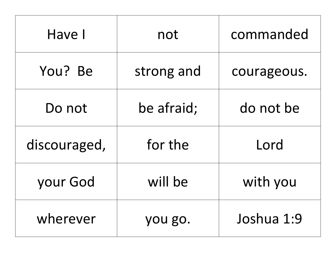| Have I       | not        | commanded   |
|--------------|------------|-------------|
| You? Be      | strong and | courageous. |
| Do not       | be afraid; | do not be   |
| discouraged, | for the    | Lord        |
| your God     | will be    | with you    |
| wherever     | you go.    | Joshua 1:9  |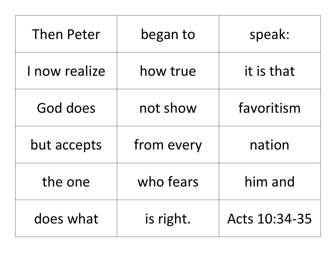| <b>Then Peter</b> | began to   | speak:        |
|-------------------|------------|---------------|
| I now realize     | how true   | it is that    |
| God does          | not show   | favoritism    |
| but accepts       | from every | nation        |
| the one           | who fears  | him and       |
| does what         | is right.  | Acts 10:34-35 |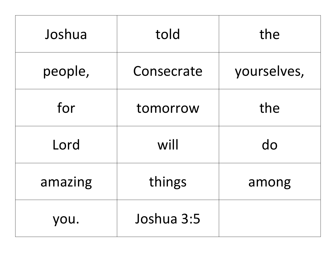| Joshua  | told       | the         |
|---------|------------|-------------|
| people, | Consecrate | yourselves, |
| for     | tomorrow   | the         |
| Lord    | will       | do          |
| amazing | things     | among       |
| you.    | Joshua 3:5 |             |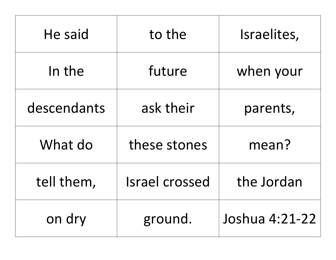| He said     | to the                | Israelites,    |
|-------------|-----------------------|----------------|
| In the      | future                | when your      |
| descendants | ask their             | parents,       |
| What do     | these stones          | mean?          |
| tell them,  | <b>Israel crossed</b> | the Jordan     |
| on dry      | ground.               | Joshua 4:21-22 |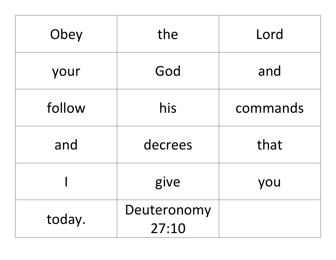| Obey   | the                  | Lord     |
|--------|----------------------|----------|
| your   | God                  | and      |
| follow | his                  | commands |
| and    | decrees              | that     |
|        | give                 | you      |
| today. | Deuteronomy<br>27:10 |          |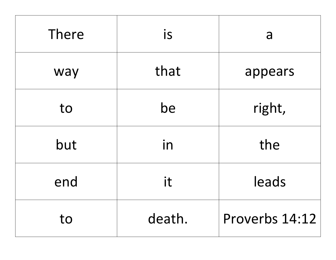| <b>There</b> | is     | a              |
|--------------|--------|----------------|
| way          | that   | appears        |
| to           | be     | right,         |
| but          | in     | the            |
| end          | it     | leads          |
| to           | death. | Proverbs 14:12 |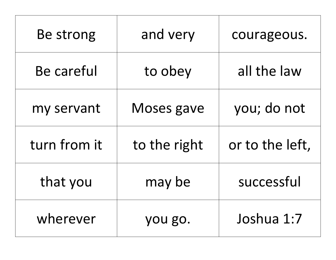| Be strong    | and very     | courageous.     |
|--------------|--------------|-----------------|
| Be careful   | to obey      | all the law     |
| my servant   | Moses gave   | you; do not     |
| turn from it | to the right | or to the left, |
| that you     | may be       | successful      |
| wherever     | you go.      | Joshua 1:7      |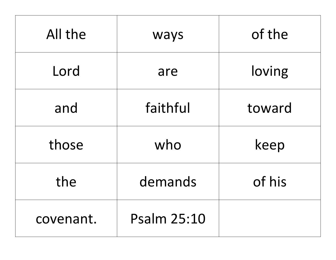| All the   | ways               | of the |
|-----------|--------------------|--------|
| Lord      | are                | loving |
| and       | faithful           | toward |
| those     | who                | keep   |
| the       | demands            | of his |
| covenant. | <b>Psalm 25:10</b> |        |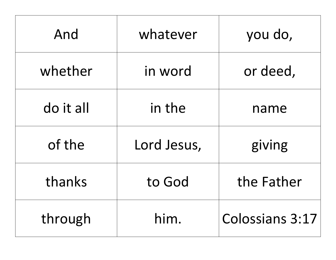| And       | whatever    | you do,                |
|-----------|-------------|------------------------|
| whether   | in word     | or deed,               |
| do it all | in the      | name                   |
| of the    | Lord Jesus, | giving                 |
| thanks    | to God      | the Father             |
| through   | him.        | <b>Colossians 3:17</b> |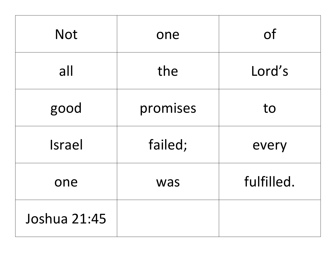| <b>Not</b>   | one      | <b>of</b>  |
|--------------|----------|------------|
| all          | the      | Lord's     |
| good         | promises | to         |
| Israel       | failed;  | every      |
| one          | was      | fulfilled. |
| Joshua 21:45 |          |            |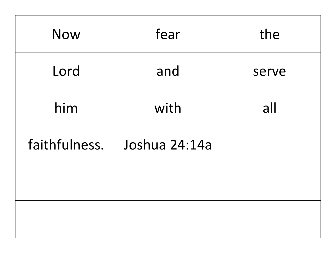| <b>Now</b>    | fear          | the   |
|---------------|---------------|-------|
| Lord          | and           | serve |
| him           | with          | all   |
| faithfulness. | Joshua 24:14a |       |
|               |               |       |
|               |               |       |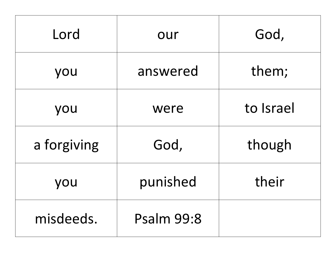| Lord        | our               | God,      |
|-------------|-------------------|-----------|
| you         | answered          | them;     |
| you         | were              | to Israel |
| a forgiving | God,              | though    |
| you         | punished          | their     |
| misdeeds.   | <b>Psalm 99:8</b> |           |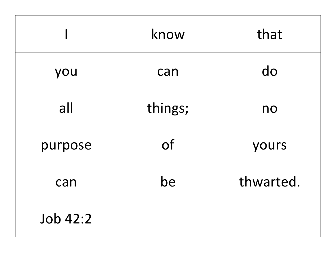|          | know      | that      |
|----------|-----------|-----------|
| you      | can       | do        |
| all      | things;   | no        |
| purpose  | <b>of</b> | yours     |
| can      | be        | thwarted. |
| Job 42:2 |           |           |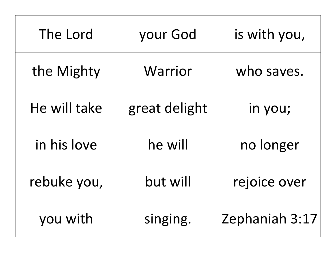| The Lord     | your God      | is with you,   |
|--------------|---------------|----------------|
| the Mighty   | Warrior       | who saves.     |
| He will take | great delight | in you;        |
| in his love  | he will       | no longer      |
| rebuke you,  | but will      | rejoice over   |
| you with     | singing.      | Zephaniah 3:17 |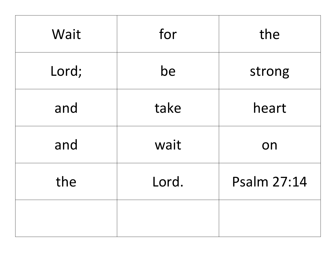| Wait  | for   | the         |
|-------|-------|-------------|
| Lord; | be    | strong      |
| and   | take  | heart       |
| and   | wait  | on          |
| the   | Lord. | Psalm 27:14 |
|       |       |             |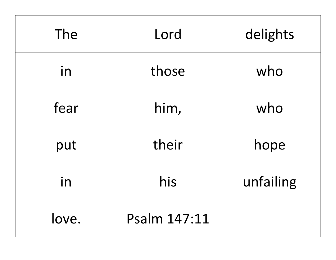| The   | Lord         | delights  |
|-------|--------------|-----------|
| in    | those        | who       |
| fear  | him,         | who       |
| put   | their        | hope      |
| in    | his          | unfailing |
| love. | Psalm 147:11 |           |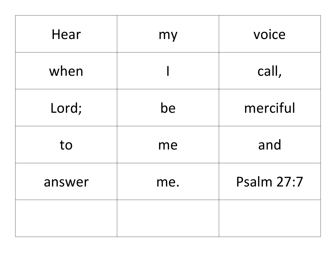| Hear   | my  | voice             |
|--------|-----|-------------------|
| when   |     | call,             |
| Lord;  | be  | merciful          |
| to     | me  | and               |
| answer | me. | <b>Psalm 27:7</b> |
|        |     |                   |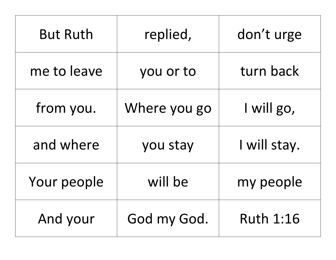| <b>But Ruth</b> | replied,     | don't urge       |
|-----------------|--------------|------------------|
| me to leave     | you or to    | turn back        |
| from you.       | Where you go | I will go,       |
| and where       | you stay     | I will stay.     |
| Your people     | will be      | my people        |
| And your        | God my God.  | <b>Ruth 1:16</b> |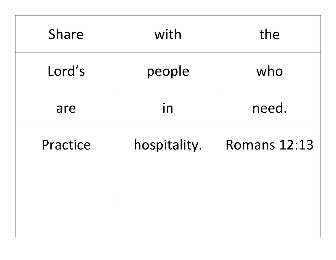| Share    | with         | the                 |
|----------|--------------|---------------------|
| Lord's   | people       | who                 |
| are      | in           | need.               |
| Practice | hospitality. | <b>Romans 12:13</b> |
|          |              |                     |
|          |              |                     |